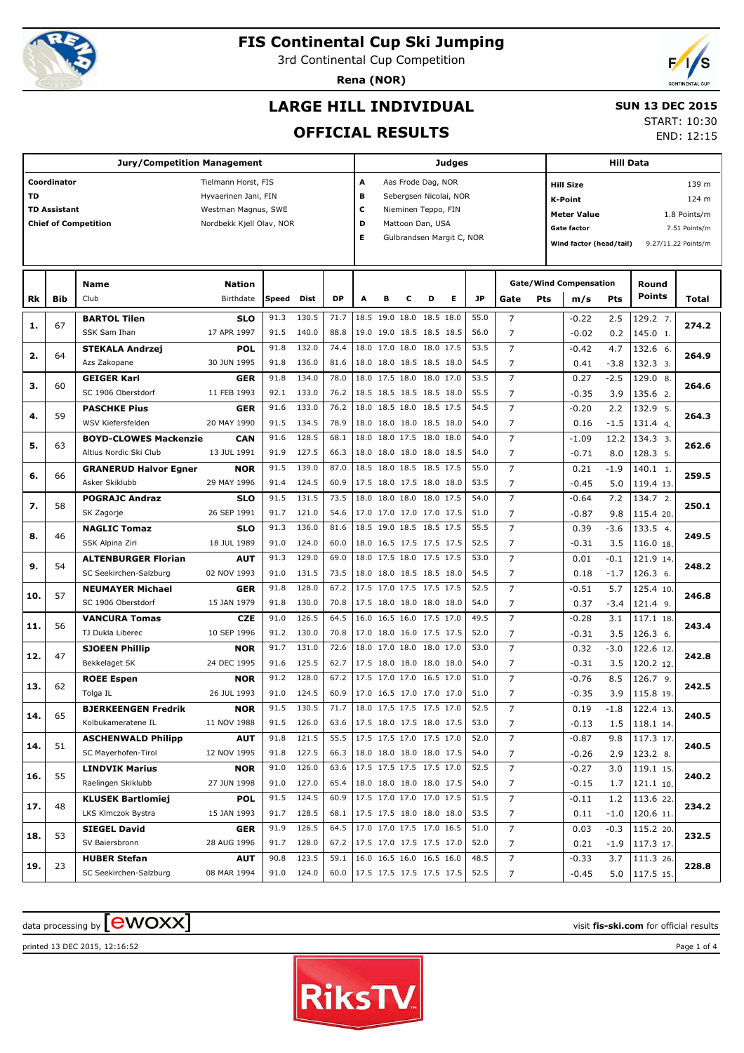

# **FIS Continental Cup Ski Jumping**

3rd Continental Cup Competition

**Rena (NOR)**



### **LARGE HILL INDIVIDUAL**

#### **SUN 13 DEC 2015**

#### **OFFICIAL RESULTS**

START: 10:30

END: 12:15

| <b>Jury/Competition Management</b> |                     |                                               |                           |              |                |              |                             | <b>Judges</b>                  |   |                                                      |   |              |                               |     | <b>Hill Data</b>                   |               |                        |                     |  |
|------------------------------------|---------------------|-----------------------------------------------|---------------------------|--------------|----------------|--------------|-----------------------------|--------------------------------|---|------------------------------------------------------|---|--------------|-------------------------------|-----|------------------------------------|---------------|------------------------|---------------------|--|
|                                    | Coordinator         |                                               | Tielmann Horst, FIS       |              |                |              | А<br>Aas Frode Dag, NOR     |                                |   |                                                      |   |              |                               |     | 139 m<br><b>Hill Size</b>          |               |                        |                     |  |
| TD                                 |                     |                                               | Hyvaerinen Jani, FIN      |              |                |              | в<br>Sebergsen Nicolai, NOR |                                |   |                                                      |   |              |                               |     | K-Point<br>124 m                   |               |                        |                     |  |
|                                    | <b>TD Assistant</b> |                                               | Westman Magnus, SWE       |              |                |              | c                           |                                |   | Nieminen Teppo, FIN                                  |   |              |                               |     | <b>Meter Value</b><br>1.8 Points/m |               |                        |                     |  |
|                                    |                     | <b>Chief of Competition</b>                   | Nordbekk Kjell Olav, NOR  |              |                |              | D<br>Mattoon Dan, USA       |                                |   |                                                      |   |              |                               |     | Gate factor                        |               |                        | 7.51 Points/m       |  |
|                                    |                     |                                               |                           |              |                |              |                             | Е<br>Gulbrandsen Margit C, NOR |   |                                                      |   |              |                               |     | Wind factor (head/tail)            |               |                        | 9.27/11.22 Points/m |  |
|                                    |                     |                                               |                           |              |                |              |                             |                                |   |                                                      |   |              |                               |     |                                    |               |                        |                     |  |
|                                    |                     | Name                                          | <b>Nation</b>             |              |                |              |                             |                                |   |                                                      |   |              | <b>Gate/Wind Compensation</b> |     |                                    |               | Round                  |                     |  |
| Rk                                 | Bib                 | Club                                          | Birthdate                 | Speed        | <b>Dist</b>    | <b>DP</b>    | A                           | в                              | c | D                                                    | Е | JP           | Gate                          | Pts | m/s                                | Pts           | <b>Points</b>          | Total               |  |
| 1.                                 | 67                  | <b>BARTOL Tilen</b>                           | <b>SLO</b>                | 91.3         | 130.5          | 71.7         |                             |                                |   | 18.5 19.0 18.0 18.5 18.0                             |   | 55.0         | $\overline{7}$                |     | $-0.22$                            | 2.5           | 129.2 7.               | 274.2               |  |
|                                    |                     | SSK Sam Ihan                                  | 17 APR 1997               | 91.5         | 140.0          | 88.8         |                             |                                |   | 19.0 19.0 18.5 18.5 18.5                             |   | 56.0         | 7                             |     | $-0.02$                            | 0.2           | 145.0 1.               |                     |  |
| 2.                                 | 64                  | <b>STEKALA Andrzej</b>                        | <b>POL</b>                | 91.8         | 132.0          | 74.4         |                             |                                |   | 18.0 17.0 18.0 18.0 17.5                             |   | 53.5         | $\overline{7}$                |     | $-0.42$                            | 4.7           | 132.6 6.               | 264.9               |  |
|                                    |                     | Azs Zakopane                                  | 30 JUN 1995               | 91.8         | 136.0          | 81.6         |                             |                                |   | 18.0 18.0 18.5 18.5 18.0                             |   | 54.5         | 7                             |     | 0.41                               | $-3.8$        | 132.3 3.               |                     |  |
| з.                                 | 60                  | <b>GEIGER Karl</b><br>SC 1906 Oberstdorf      | <b>GER</b><br>11 FEB 1993 | 91.8<br>92.1 | 134.0<br>133.0 | 78.0<br>76.2 |                             |                                |   | 18.0 17.5 18.0 18.0 17.0<br>18.5 18.5 18.5 18.5 18.0 |   | 53.5<br>55.5 | $\overline{7}$<br>7           |     | 0.27<br>$-0.35$                    | $-2.5$<br>3.9 | 129.0 8.<br>135.6 2.   | 264.6               |  |
|                                    |                     | <b>PASCHKE Pius</b>                           | <b>GER</b>                | 91.6         | 133.0          | 76.2         |                             |                                |   | 18.0 18.5 18.0 18.5 17.5                             |   | 54.5         | $\overline{7}$                |     | $-0.20$                            | 2.2           | 132.9 5.               |                     |  |
| 4.                                 | 59                  | WSV Kiefersfelden                             | 20 MAY 1990               | 91.5         | 134.5          | 78.9         |                             |                                |   | 18.0 18.0 18.0 18.5 18.0                             |   | 54.0         | 7                             |     | 0.16                               | $-1.5$        | 131.4 4.               | 264.3               |  |
|                                    |                     | <b>BOYD-CLOWES Mackenzie</b>                  | CAN                       | 91.6         | 128.5          | 68.1         |                             |                                |   | 18.0 18.0 17.5 18.0 18.0                             |   | 54.0         | $\overline{7}$                |     | $-1.09$                            | 12.2          | 134.3 3.               |                     |  |
| 5.                                 | 63                  | Altius Nordic Ski Club                        | 13 JUL 1991               | 91.9         | 127.5          | 66.3         |                             |                                |   | 18.0 18.0 18.0 18.0 18.5                             |   | 54.0         | 7                             |     | $-0.71$                            | 8.0           | 128.3 5.               | 262.6               |  |
|                                    |                     | <b>GRANERUD Halvor Egner</b>                  | <b>NOR</b>                | 91.5         | 139.0          | 87.0         |                             |                                |   | 18.5 18.0 18.5 18.5 17.5                             |   | 55.0         | $\overline{7}$                |     | 0.21                               | $-1.9$        | 140.1 1.               |                     |  |
| 6.                                 | 66                  | Asker Skiklubb                                | 29 MAY 1996               | 91.4         | 124.5          | 60.9         |                             |                                |   | 17.5 18.0 17.5 18.0 18.0                             |   | 53.5         | 7                             |     | $-0.45$                            | 5.0           | 119.4 13               | 259.5               |  |
|                                    | 58                  | <b>POGRAJC Andraz</b>                         | <b>SLO</b>                | 91.5         | 131.5          | 73.5         |                             |                                |   | 18.0 18.0 18.0 18.0 17.5                             |   | 54.0         | $\overline{7}$                |     | $-0.64$                            | 7.2           | 134.7 2.               | 250.1               |  |
| 7.                                 |                     | SK Zagorje                                    | 26 SEP 1991               | 91.7         | 121.0          | 54.6         |                             |                                |   | 17.0 17.0 17.0 17.0 17.5                             |   | 51.0         | 7                             |     | $-0.87$                            | 9.8           | 115.4 20               |                     |  |
| 8.                                 | 46                  | <b>NAGLIC Tomaz</b>                           | <b>SLO</b>                | 91.3         | 136.0          | 81.6         |                             |                                |   | 18.5 19.0 18.5 18.5 17.5                             |   | 55.5         | $\overline{7}$                |     | 0.39                               | $-3.6$        | 133.5 4.               | 249.5               |  |
|                                    |                     | SSK Alpina Ziri                               | 18 JUL 1989               | 91.0         | 124.0          | 60.0         |                             |                                |   | 18.0 16.5 17.5 17.5 17.5                             |   | 52.5         | 7                             |     | $-0.31$                            | 3.5           | 116.0 18               |                     |  |
| 9.                                 | 54                  | <b>ALTENBURGER Florian</b>                    | <b>AUT</b>                | 91.3         | 129.0          | 69.0         |                             |                                |   | 18.0 17.5 18.0 17.5 17.5                             |   | 53.0         | $\overline{7}$                |     | 0.01                               | $-0.1$        | 121.9 14               | 248.2               |  |
|                                    |                     | SC Seekirchen-Salzburg                        | 02 NOV 1993               | 91.0         | 131.5          | 73.5         |                             |                                |   | 18.0 18.0 18.5 18.5 18.0                             |   | 54.5         | 7                             |     | 0.18                               | $-1.7$        | 126.3 6.               |                     |  |
| 10.                                | 57                  | <b>NEUMAYER Michael</b><br>SC 1906 Oberstdorf | <b>GER</b>                | 91.8         | 128.0          | 67.2         |                             |                                |   | 17.5 17.0 17.5 17.5 17.5                             |   | 52.5         | $\overline{7}$                |     | $-0.51$                            | 5.7           | 125.4 10               | 246.8               |  |
|                                    |                     | <b>VANCURA Tomas</b>                          | 15 JAN 1979<br><b>CZE</b> | 91.8<br>91.0 | 130.0<br>126.5 | 70.8<br>64.5 |                             |                                |   | 17.5 18.0 18.0 18.0 18.0<br>16.0 16.5 16.0 17.5 17.0 |   | 54.0<br>49.5 | 7<br>$\overline{7}$           |     | 0.37<br>$-0.28$                    | $-3.4$<br>3.1 | 121.4 9.<br>117.1 18.  |                     |  |
| 11.                                | 56                  | TJ Dukla Liberec                              | 10 SEP 1996               | 91.2         | 130.0          | 70.8         |                             |                                |   | 17.0 18.0 16.0 17.5 17.5                             |   | 52.0         | 7                             |     | $-0.31$                            | 3.5           | 126.3 6.               | 243.4               |  |
|                                    |                     | <b>SJOEEN Phillip</b>                         | <b>NOR</b>                | 91.7         | 131.0          | 72.6         |                             |                                |   | 18.0 17.0 18.0 18.0 17.0                             |   | 53.0         | $\overline{7}$                |     | 0.32                               | $-3.0$        | 122.6 12               |                     |  |
| 12.                                | 47                  | Bekkelaget SK                                 | 24 DEC 1995               | 91.6         | 125.5          | 62.7         |                             |                                |   | 17.5 18.0 18.0 18.0 18.0                             |   | 54.0         | 7                             |     | $-0.31$                            | 3.5           | 120.2 12.              | 242.8               |  |
|                                    |                     | <b>ROEE Espen</b>                             | <b>NOR</b>                | 91.2         | 128.0          | 67.2         |                             |                                |   | 17.5 17.0 17.0 16.5 17.0                             |   | 51.0         | $\overline{7}$                |     | $-0.76$                            | 8.5           | 126.7 9.               |                     |  |
| 13.                                | 62                  | Tolga IL                                      | 26 JUL 1993               | 91.0         | 124.5          | 60.9         |                             |                                |   | 17.0 16.5 17.0 17.0 17.0                             |   | 51.0         | 7                             |     | $-0.35$                            | 3.9           | 115.8 19.              | 242.5               |  |
| 14.                                | 65                  | <b>BJERKEENGEN Fredrik</b>                    | <b>NOR</b>                | 91.5         | 130.5          | 71.7         |                             |                                |   | 18.0 17.5 17.5 17.5 17.0                             |   | 52.5         | 7                             |     | 0.19                               | $-1.8$        | 122.4 13.              | 240.5               |  |
|                                    |                     | Kolbukameratene IL                            | 11 NOV 1988               | 91.5         | 126.0          | 63.6         |                             |                                |   | 17.5 18.0 17.5 18.0 17.5                             |   | 53.0         | 7                             |     | $-0.13$                            | 1.5           | 118.1 14.              |                     |  |
| 14.                                | 51                  | <b>ASCHENWALD Philipp</b>                     | <b>AUT</b>                | 91.8         | 121.5          | 55.5         |                             |                                |   | 17.5 17.5 17.0 17.5 17.0                             |   | 52.0         | $\overline{7}$                |     | $-0.87$                            | 9.8           | 117.3 17.              | 240.5               |  |
|                                    |                     | SC Mayerhofen-Tirol                           | 12 NOV 1995               | 91.8         | 127.5          | 66.3         |                             |                                |   | 18.0 18.0 18.0 18.0 17.5                             |   | 54.0         | 7                             |     | $-0.26$                            | 2.9           | 123.2 8.               |                     |  |
| 16.                                | 55                  | <b>LINDVIK Marius</b>                         | <b>NOR</b>                | 91.0         | 126.0          | 63.6         |                             |                                |   | 17.5 17.5 17.5 17.5 17.0                             |   | 52.5         | $\overline{7}$                |     | $-0.27$                            | 3.0           | 119.1 15.              | 240.2               |  |
|                                    |                     | Raelingen Skiklubb                            | 27 JUN 1998               | 91.0         | 127.0          | 65.4         |                             |                                |   | 18.0 18.0 18.0 18.0 17.5                             |   | 54.0         | 7                             |     | $-0.15$                            | 1.7           | 121.1 10.              |                     |  |
| 17.                                | 48                  | <b>KLUSEK Bartlomiej</b>                      | <b>POL</b>                | 91.5         | 124.5          | 60.9         |                             |                                |   | 17.5 17.0 17.0 17.0 17.5                             |   | 51.5         | $\overline{7}$                |     | $-0.11$                            | 1.2           | 113.6 22.              | 234.2               |  |
|                                    |                     | LKS Klmczok Bystra                            | 15 JAN 1993               | 91.7         | 128.5<br>126.5 | 68.1<br>64.5 |                             |                                |   | 17.5 17.5 18.0 18.0 18.0<br>17.0 17.0 17.5 17.0 16.5 |   | 53.5<br>51.0 | 7                             |     | 0.11                               | $-1.0$        | 120.6 11.              |                     |  |
| 18.                                | 53                  | <b>SIEGEL David</b><br>SV Baiersbronn         | <b>GER</b><br>28 AUG 1996 | 91.9<br>91.7 | 128.0          | 67.2         |                             |                                |   | 17.5 17.0 17.5 17.5 17.0                             |   | 52.0         | $\overline{7}$                |     | 0.03                               | $-0.3$        | 115.2 20.              | 232.5               |  |
|                                    |                     | <b>HUBER Stefan</b>                           | <b>AUT</b>                | 90.8         | 123.5          | 59.1         |                             |                                |   | 16.0 16.5 16.0 16.5 16.0                             |   | 48.5         | 7<br>7                        |     | 0.21<br>$-0.33$                    | -1.9<br>3.7   | 117.3 17.<br>111.3 26. |                     |  |
| 19.                                | 23                  | SC Seekirchen-Salzburg                        | 08 MAR 1994               |              | 91.0 124.0     | 60.0         | 17.5 17.5 17.5 17.5 17.5    |                                |   |                                                      |   | 52.5         | 7                             |     | $-0.45$                            |               | 5.0   117.5 15.        | 228.8               |  |
|                                    |                     |                                               |                           |              |                |              |                             |                                |   |                                                      |   |              |                               |     |                                    |               |                        |                     |  |

# $\frac{1}{2}$  data processing by  $\boxed{\text{ewOX}}$

printed 13 DEC 2015, 12:16:52 Page 1 of 4

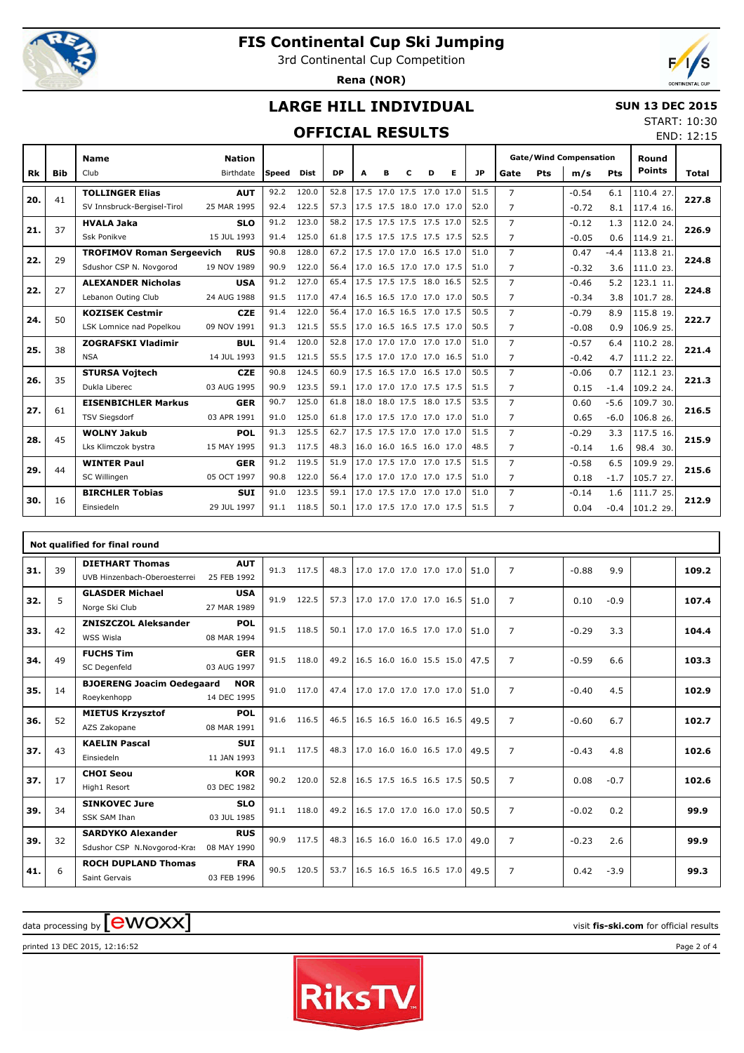

г

# **FIS Continental Cup Ski Jumping**

3rd Continental Cup Competition

**Rena (NOR)**



#### **LARGE HILL INDIVIDUAL**

#### **SUN 13 DEC 2015** START: 10:30

### **OFFICIAL RESULTS**

|     | <b>OFFICIAL RESULTS</b> |                                  |               |              |             |      |   |   |                          |   |                          |           |                |     |                               | END: 12:15 |               |       |
|-----|-------------------------|----------------------------------|---------------|--------------|-------------|------|---|---|--------------------------|---|--------------------------|-----------|----------------|-----|-------------------------------|------------|---------------|-------|
|     |                         | <b>Name</b>                      | <b>Nation</b> |              |             |      |   |   |                          |   |                          |           |                |     | <b>Gate/Wind Compensation</b> |            | Round         |       |
| Rk  | <b>Bib</b>              | Club                             | Birthdate     | <b>Speed</b> | <b>Dist</b> | DP   | A | в | C                        | D | Е                        | <b>JP</b> | Gate           | Pts | m/s                           | Pts        | <b>Points</b> | Total |
| 20. | 41                      | <b>TOLLINGER Elias</b>           | <b>AUT</b>    | 92.2         | 120.0       | 52.8 |   |   | 17.5 17.0 17.5 17.0 17.0 |   |                          | 51.5      | $\overline{7}$ |     | $-0.54$                       | 6.1        | 110.4 27.     | 227.8 |
|     |                         | SV Innsbruck-Bergisel-Tirol      | 25 MAR 1995   | 92.4         | 122.5       | 57.3 |   |   | 17.5 17.5 18.0 17.0 17.0 |   |                          | 52.0      | $\overline{7}$ |     | $-0.72$                       | 8.1        | 117.4 16.     |       |
| 21. | 37                      | <b>HVALA Jaka</b>                | <b>SLO</b>    | 91.2         | 123.0       | 58.2 |   |   | 17.5 17.5 17.5 17.5 17.0 |   |                          | 52.5      | $\overline{7}$ |     | $-0.12$                       | 1.3        | 112.0 24.     | 226.9 |
|     |                         | <b>Ssk Ponikve</b>               | 15 JUL 1993   | 91.4         | 125.0       | 61.8 |   |   | 17.5 17.5 17.5 17.5 17.5 |   |                          | 52.5      | $\overline{7}$ |     | $-0.05$                       | 0.6        | 114.9 21.     |       |
| 22. | 29                      | <b>TROFIMOV Roman Sergeevich</b> | <b>RUS</b>    | 90.8         | 128.0       | 67.2 |   |   | 17.5 17.0 17.0 16.5 17.0 |   |                          | 51.0      | $\overline{7}$ |     | 0.47                          | $-4.4$     | 113.8 21.     | 224.8 |
|     |                         | Sdushor CSP N. Novgorod          | 19 NOV 1989   | 90.9         | 122.0       | 56.4 |   |   | 17.0 16.5 17.0 17.0 17.5 |   |                          | 51.0      | $\overline{7}$ |     | $-0.32$                       | 3.6        | 111.0 23.     |       |
| 22. | 27                      | <b>ALEXANDER Nicholas</b>        | <b>USA</b>    | 91.2         | 127.0       | 65.4 |   |   | 17.5 17.5 17.5 18.0 16.5 |   |                          | 52.5      | $\overline{7}$ |     | $-0.46$                       | 5.2        | 123.1 11.     | 224.8 |
|     |                         | Lebanon Outing Club              | 24 AUG 1988   | 91.5         | 117.0       | 47.4 |   |   | 16.5 16.5 17.0 17.0 17.0 |   |                          | 50.5      | $\overline{7}$ |     | $-0.34$                       | 3.8        | 101.7 28.     |       |
| 24. | 50                      | <b>KOZISEK Cestmir</b>           | <b>CZE</b>    | 91.4         | 122.0       | 56.4 |   |   | 17.0 16.5 16.5 17.0 17.5 |   |                          | 50.5      | $\overline{7}$ |     | $-0.79$                       | 8.9        | 115.8 19.     | 222.7 |
|     |                         | LSK Lomnice nad Popelkou         | 09 NOV 1991   | 91.3         | 121.5       | 55.5 |   |   | 17.0 16.5 16.5 17.5 17.0 |   |                          | 50.5      | $\overline{7}$ |     | $-0.08$                       | 0.9        | 106.9 25.     |       |
| 25. | 38                      | <b>ZOGRAFSKI Vladimir</b>        | <b>BUL</b>    | 91.4         | 120.0       | 52.8 |   |   | 17.0 17.0 17.0 17.0 17.0 |   |                          | 51.0      | $\overline{7}$ |     | $-0.57$                       | 6.4        | 110.2 28.     | 221.4 |
|     |                         | <b>NSA</b>                       | 14 JUL 1993   | 91.5         | 121.5       | 55.5 |   |   | 17.5 17.0 17.0 17.0 16.5 |   |                          | 51.0      | $\overline{7}$ |     | $-0.42$                       | 4.7        | 111.2 22.     |       |
| 26. | 35                      | <b>STURSA Vojtech</b>            | <b>CZE</b>    | 90.8         | 124.5       | 60.9 |   |   | 17.5 16.5 17.0 16.5 17.0 |   |                          | 50.5      | $\overline{7}$ |     | $-0.06$                       | 0.7        | 112.1 23.     | 221.3 |
|     |                         | Dukla Liberec                    | 03 AUG 1995   | 90.9         | 123.5       | 59.1 |   |   | 17.0 17.0 17.0 17.5 17.5 |   |                          | 51.5      | $\overline{7}$ |     | 0.15                          | $-1.4$     | 109.2 24.     |       |
| 27. | 61                      | <b>EISENBICHLER Markus</b>       | <b>GER</b>    | 90.7         | 125.0       | 61.8 |   |   | 18.0 18.0 17.5 18.0 17.5 |   |                          | 53.5      | $\overline{7}$ |     | 0.60                          | $-5.6$     | 109.7 30.     | 216.5 |
|     |                         | <b>TSV Siegsdorf</b>             | 03 APR 1991   | 91.0         | 125.0       | 61.8 |   |   | 17.0 17.5 17.0 17.0 17.0 |   |                          | 51.0      | $\overline{7}$ |     | 0.65                          | $-6.0$     | 106.8 26.     |       |
| 28. | 45                      | <b>WOLNY Jakub</b>               | <b>POL</b>    | 91.3         | 125.5       | 62.7 |   |   | 17.5 17.5 17.0 17.0 17.0 |   |                          | 51.5      | $\overline{7}$ |     | $-0.29$                       | 3.3        | 117.5 16.     | 215.9 |
|     |                         | Lks Klimczok bystra              | 15 MAY 1995   | 91.3         | 117.5       | 48.3 |   |   | 16.0 16.0 16.5 16.0 17.0 |   |                          | 48.5      | $\overline{7}$ |     | $-0.14$                       | 1.6        | 98.4 30.      |       |
| 29. | 44                      | <b>WINTER Paul</b>               | <b>GER</b>    | 91.2         | 119.5       | 51.9 |   |   | 17.0 17.5 17.0 17.0 17.5 |   |                          | 51.5      | $\overline{7}$ |     | $-0.58$                       | 6.5        | 109.9 29.     | 215.6 |
|     |                         | SC Willingen                     | 05 OCT 1997   | 90.8         | 122.0       | 56.4 |   |   | 17.0 17.0 17.0 17.0 17.5 |   |                          | 51.0      | $\overline{7}$ |     | 0.18                          | $-1.7$     | 105.7 27.     |       |
| 30. | 16                      | <b>BIRCHLER Tobias</b>           | <b>SUI</b>    | 91.0         | 123.5       | 59.1 |   |   | 17.0 17.5 17.0 17.0 17.0 |   |                          | 51.0      | $\overline{7}$ |     | $-0.14$                       | 1.6        | 111.7 25.     | 212.9 |
|     |                         | Einsiedeln                       | 29 JUL 1997   | 91.1         | 118.5       | 50.1 |   |   |                          |   | 17.0 17.5 17.0 17.0 17.5 | 51.5      | $\overline{7}$ |     | 0.04                          | $-0.4$     | $101.2$ 29.   |       |
|     |                         |                                  |               |              |             |      |   |   |                          |   |                          |           |                |     |                               |            |               |       |

|     | Not qualified for final round |                                                         |                           |      |            |      |                          |  |  |      |                |         |        |  |       |
|-----|-------------------------------|---------------------------------------------------------|---------------------------|------|------------|------|--------------------------|--|--|------|----------------|---------|--------|--|-------|
| 31. | 39                            | <b>DIETHART Thomas</b><br>UVB Hinzenbach-Oberoesterrei  | <b>AUT</b><br>25 FEB 1992 | 91.3 | 117.5      | 48.3 | 17.0 17.0 17.0 17.0 17.0 |  |  | 51.0 | $\overline{7}$ | $-0.88$ | 9.9    |  | 109.2 |
| 32. | 5                             | <b>GLASDER Michael</b><br>Norge Ski Club                | <b>USA</b><br>27 MAR 1989 | 91.9 | 122.5      | 57.3 | 17.0 17.0 17.0 17.0 16.5 |  |  | 51.0 | $\overline{7}$ | 0.10    | $-0.9$ |  | 107.4 |
| 33. | 42                            | <b>ZNISZCZOL Aleksander</b><br>WSS Wisla                | <b>POL</b><br>08 MAR 1994 | 91.5 | 118.5      | 50.1 | 17.0 17.0 16.5 17.0 17.0 |  |  | 51.0 | $\overline{7}$ | $-0.29$ | 3.3    |  | 104.4 |
| 34. | 49                            | <b>FUCHS Tim</b><br>SC Degenfeld                        | <b>GER</b><br>03 AUG 1997 | 91.5 | 118.0      | 49.2 | 16.5 16.0 16.0 15.5 15.0 |  |  | 47.5 | $\overline{7}$ | $-0.59$ | 6.6    |  | 103.3 |
| 35. | 14                            | <b>BJOERENG Joacim Oedegaard</b><br>Roeykenhopp         | <b>NOR</b><br>14 DEC 1995 | 91.0 | 117.0      | 47.4 | 17.0 17.0 17.0 17.0 17.0 |  |  | 51.0 | $\overline{7}$ | $-0.40$ | 4.5    |  | 102.9 |
| 36. | 52                            | <b>MIETUS Krzysztof</b><br>AZS Zakopane                 | POL<br>08 MAR 1991        | 91.6 | 116.5      | 46.5 | 16.5 16.5 16.0 16.5 16.5 |  |  | 49.5 | $\overline{7}$ | $-0.60$ | 6.7    |  | 102.7 |
| 37. | 43                            | <b>KAELIN Pascal</b><br>Einsiedeln                      | <b>SUI</b><br>11 JAN 1993 |      | 91.1 117.5 | 48.3 | 17.0 16.0 16.0 16.5 17.0 |  |  | 49.5 | $\overline{7}$ | $-0.43$ | 4.8    |  | 102.6 |
| 37. | 17                            | <b>CHOI Seou</b><br>High1 Resort                        | KOR<br>03 DEC 1982        | 90.2 | 120.0      | 52.8 | 16.5 17.5 16.5 16.5 17.5 |  |  | 50.5 | $\overline{7}$ | 0.08    | $-0.7$ |  | 102.6 |
| 39. | 34                            | <b>SINKOVEC Jure</b><br><b>SSK SAM Ihan</b>             | <b>SLO</b><br>03 JUL 1985 | 91.1 | 118.0      | 49.2 | 16.5 17.0 17.0 16.0 17.0 |  |  | 50.5 | $\overline{7}$ | $-0.02$ | 0.2    |  | 99.9  |
| 39. | 32                            | <b>SARDYKO Alexander</b><br>Sdushor CSP N.Novgorod-Kras | <b>RUS</b><br>08 MAY 1990 | 90.9 | 117.5      | 48.3 | 16.5 16.0 16.0 16.5 17.0 |  |  | 49.0 | $\overline{7}$ | $-0.23$ | 2.6    |  | 99.9  |
| 41. | 6                             | <b>ROCH DUPLAND Thomas</b><br>Saint Gervais             | <b>FRA</b><br>03 FEB 1996 | 90.5 | 120.5      | 53.7 | 16.5 16.5 16.5 16.5 17.0 |  |  | 49.5 | $\overline{7}$ | 0.42    | $-3.9$ |  | 99.3  |

# data processing by **CWOXX** and  $\overline{C}$  and  $\overline{C}$  and  $\overline{C}$  and  $\overline{C}$  and  $\overline{C}$  and  $\overline{C}$  and  $\overline{C}$  and  $\overline{C}$  and  $\overline{C}$  and  $\overline{C}$  and  $\overline{C}$  and  $\overline{C}$  and  $\overline{C}$  and  $\overline{C}$  and  $\overline{C}$

printed 13 DEC 2015, 12:16:52 Page 2 of 4

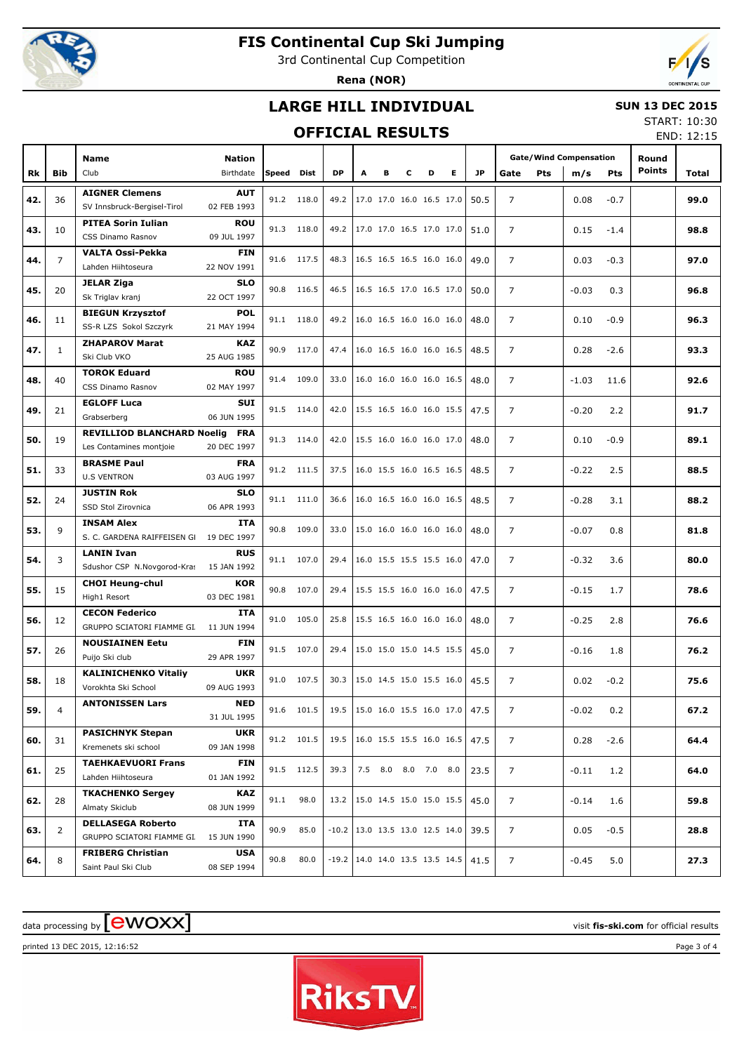

### **FIS Continental Cup Ski Jumping**

3rd Continental Cup Competition

**Rena (NOR)**



#### **LARGE HILL INDIVIDUAL**

#### **SUN 13 DEC 2015**

#### **OFFICIAL RESULTS**

START: 10:30 END: 12:15

|     |                | <b>Name</b>                                       | <b>Nation</b>             |            |            |           |                                    |   |   |                     |   |                               | <b>Gate/Wind Compensation</b> |            |         | Round      |               |       |
|-----|----------------|---------------------------------------------------|---------------------------|------------|------------|-----------|------------------------------------|---|---|---------------------|---|-------------------------------|-------------------------------|------------|---------|------------|---------------|-------|
| Rk  | <b>Bib</b>     | Club                                              | Birthdate                 | Speed Dist |            | <b>DP</b> | A                                  | в | c | D                   | Е | JP                            | Gate                          | <b>Pts</b> | m/s     | <b>Pts</b> | <b>Points</b> | Total |
|     |                | <b>AIGNER Clemens</b>                             | <b>AUT</b>                |            |            |           |                                    |   |   |                     |   |                               |                               |            |         |            |               |       |
| 42. | 36             | SV Innsbruck-Bergisel-Tirol                       | 02 FEB 1993               |            | 91.2 118.0 |           | 49.2   17.0 17.0 16.0 16.5 17.0    |   |   |                     |   | 50.5                          | 7                             |            | 0.08    | $-0.7$     |               | 99.0  |
|     |                | <b>PITEA Sorin Iulian</b>                         | <b>ROU</b>                |            | 91.3 118.0 |           | 49.2 17.0 17.0 16.5 17.0 17.0      |   |   |                     |   |                               | $\overline{7}$                |            |         |            |               |       |
| 43. | 10             | CSS Dinamo Rasnov                                 | 09 JUL 1997               |            |            |           |                                    |   |   |                     |   | 51.0                          |                               |            | 0.15    | $-1.4$     |               | 98.8  |
| 44. | $\overline{7}$ | VALTA Ossi-Pekka                                  | <b>FIN</b>                |            | 91.6 117.5 |           | 48.3   16.5 16.5 16.5 16.0 16.0    |   |   |                     |   | 49.0                          | $\overline{7}$                |            | 0.03    | $-0.3$     |               | 97.0  |
|     |                | Lahden Hiihtoseura                                | 22 NOV 1991               |            |            |           |                                    |   |   |                     |   |                               |                               |            |         |            |               |       |
| 45. | 20             | <b>JELAR Ziga</b>                                 | <b>SLO</b>                |            | 90.8 116.5 |           | 46.5 16.5 16.5 17.0 16.5 17.0      |   |   |                     |   | 50.0                          | $\overline{7}$                |            | $-0.03$ | 0.3        |               | 96.8  |
|     |                | Sk Triglav kranj                                  | 22 OCT 1997               |            |            |           |                                    |   |   |                     |   |                               |                               |            |         |            |               |       |
| 46. | 11             | <b>BIEGUN Krzysztof</b><br>SS-R LZS Sokol Szczyrk | <b>POL</b><br>21 MAY 1994 |            | 91.1 118.0 |           | 49.2 16.0 16.5 16.0 16.0 16.0      |   |   |                     |   | 48.0                          | $\overline{7}$                |            | 0.10    | $-0.9$     |               | 96.3  |
|     |                | <b>ZHAPAROV Marat</b>                             | <b>KAZ</b>                |            |            |           |                                    |   |   |                     |   |                               |                               |            |         |            |               |       |
| 47. | 1              | Ski Club VKO                                      | 25 AUG 1985               |            | 90.9 117.0 |           | 47.4   16.0 16.5 16.0 16.0 16.5    |   |   |                     |   | 48.5                          | $\overline{7}$                |            | 0.28    | $-2.6$     |               | 93.3  |
|     |                | <b>TOROK Eduard</b>                               | <b>ROU</b>                |            |            |           |                                    |   |   |                     |   |                               |                               |            |         |            |               |       |
| 48. | 40             | CSS Dinamo Rasnov                                 | 02 MAY 1997               |            | 91.4 109.0 | 33.0      | 16.0 16.0 16.0 16.0 16.5           |   |   |                     |   | 48.0                          | $\overline{7}$                |            | $-1.03$ | 11.6       |               | 92.6  |
| 49. | 21             | <b>EGLOFF Luca</b>                                | <b>SUI</b>                |            | 91.5 114.0 |           | 42.0 15.5 16.5 16.0 16.0 15.5      |   |   |                     |   | 47.5                          | $\overline{7}$                |            | $-0.20$ | 2.2        |               | 91.7  |
|     |                | Grabserberg                                       | 06 JUN 1995               |            |            |           |                                    |   |   |                     |   |                               |                               |            |         |            |               |       |
| 50. | 19             | <b>REVILLIOD BLANCHARD Noelig FRA</b>             |                           |            | 91.3 114.0 | 42.0      | $15.5$ 16.0 16.0 16.0 17.0         |   |   |                     |   | 48.0                          | 7                             |            | 0.10    | $-0.9$     |               | 89.1  |
|     |                | Les Contamines montjoie                           | 20 DEC 1997               |            |            |           |                                    |   |   |                     |   |                               |                               |            |         |            |               |       |
| 51. | 33             | <b>BRASME Paul</b><br><b>U.S VENTRON</b>          | <b>FRA</b><br>03 AUG 1997 |            | 91.2 111.5 |           | 37.5 16.0 15.5 16.0 16.5 16.5      |   |   |                     |   | 48.5                          | $\overline{7}$                |            | $-0.22$ | 2.5        |               | 88.5  |
|     |                | <b>JUSTIN Rok</b>                                 | <b>SLO</b>                |            |            |           |                                    |   |   |                     |   |                               |                               |            |         |            |               |       |
| 52. | 24             | SSD Stol Zirovnica                                | 06 APR 1993               |            | 91.1 111.0 | 36.6      | 16.0 16.5 16.0 16.0 16.5           |   |   |                     |   | 48.5                          | $\overline{7}$                |            | $-0.28$ | 3.1        |               | 88.2  |
|     |                | <b>INSAM Alex</b>                                 | <b>ITA</b>                |            | 90.8 109.0 | 33.0      | 15.0 16.0 16.0 16.0 16.0           |   |   |                     |   |                               |                               |            |         |            |               |       |
| 53. | 9              | S. C. GARDENA RAIFFEISEN GI 19 DEC 1997           |                           |            |            |           |                                    |   |   |                     |   | 48.0                          | $\overline{7}$                |            | $-0.07$ | 0.8        |               | 81.8  |
| 54. | 3              | <b>LANIN Ivan</b>                                 | <b>RUS</b>                |            | 91.1 107.0 | 29.4      | 16.0 15.5 15.5 15.5 16.0           |   |   |                     |   | 47.0                          | $\overline{7}$                |            | $-0.32$ | 3.6        |               | 80.0  |
|     |                | Sdushor CSP N.Novgorod-Kras                       | 15 JAN 1992               |            |            |           |                                    |   |   |                     |   |                               |                               |            |         |            |               |       |
| 55. | 15             | <b>CHOI Heung-chul</b><br>High1 Resort            | <b>KOR</b><br>03 DEC 1981 |            | 90.8 107.0 |           | 29.4   15.5 15.5 16.0 16.0 16.0    |   |   |                     |   | 47.5                          | 7                             |            | $-0.15$ | 1.7        |               | 78.6  |
|     |                | <b>CECON Federico</b>                             | <b>ITA</b>                |            |            |           |                                    |   |   |                     |   |                               |                               |            |         |            |               |       |
| 56. | 12             | GRUPPO SCIATORI FIAMME GI. 11 JUN 1994            |                           |            | 91.0 105.0 | 25.8      | 15.5 16.5 16.0 16.0 16.0           |   |   |                     |   | 48.0                          | $\overline{7}$                |            | $-0.25$ | 2.8        |               | 76.6  |
|     |                | <b>NOUSIAINEN Eetu</b>                            | <b>FIN</b>                |            |            |           |                                    |   |   |                     |   |                               |                               |            |         |            |               |       |
| 57. | 26             | Puijo Ski club                                    | 29 APR 1997               |            | 91.5 107.0 | 29.4      | 15.0 15.0 15.0 14.5 15.5           |   |   |                     |   | 45.0                          | 7                             |            | $-0.16$ | 1.8        |               | 76.2  |
| 58. | 18             | <b>KALINICHENKO Vitaliy</b>                       | <b>UKR</b>                |            | 91.0 107.5 | 30.3      | 15.0 14.5 15.0 15.5 16.0           |   |   |                     |   | 45.5                          | $\overline{7}$                |            | 0.02    | $-0.2$     |               | 75.6  |
|     |                | Vorokhta Ski School                               | 09 AUG 1993               |            |            |           |                                    |   |   |                     |   |                               |                               |            |         |            |               |       |
| 59. | 4              | <b>ANTONISSEN Lars</b>                            | <b>NED</b>                |            | 91.6 101.5 | 19.5      |                                    |   |   |                     |   | 15.0 16.0 15.5 16.0 17.0 47.5 | 7                             |            | $-0.02$ | 0.2        |               | 67.2  |
|     |                | <b>PASICHNYK Stepan</b>                           | 31 JUL 1995<br><b>UKR</b> |            |            |           |                                    |   |   |                     |   |                               |                               |            |         |            |               |       |
| 60. | 31             | Kremenets ski school                              | 09 JAN 1998               |            | 91.2 101.5 | 19.5      | 16.0 15.5 15.5 16.0 16.5           |   |   |                     |   | 47.5                          | $\overline{7}$                |            | 0.28    | $-2.6$     |               | 64.4  |
|     |                | <b>TAEHKAEVUORI Frans</b>                         | FIN                       |            |            |           |                                    |   |   |                     |   |                               |                               |            |         |            |               |       |
| 61. | 25             | Lahden Hiihtoseura                                | 01 JAN 1992               |            | 91.5 112.5 | 39.3      |                                    |   |   | 7.5 8.0 8.0 7.0 8.0 |   | 23.5                          | $\overline{7}$                |            | $-0.11$ | 1.2        |               | 64.0  |
|     |                | <b>TKACHENKO Sergey</b>                           | <b>KAZ</b>                | 91.1       | 98.0       | 13.2      | 15.0 14.5 15.0 15.0 15.5           |   |   |                     |   | 45.0                          | $\overline{7}$                |            |         |            |               |       |
| 62. | 28             | Almaty Skiclub                                    | 08 JUN 1999               |            |            |           |                                    |   |   |                     |   |                               |                               |            | $-0.14$ | 1.6        |               | 59.8  |
| 63. | 2              | <b>DELLASEGA Roberto</b>                          | ITA                       | 90.9       | 85.0       |           | $-10.2$   13.0 13.5 13.0 12.5 14.0 |   |   |                     |   | 39.5                          | $\overline{7}$                |            | 0.05    | $-0.5$     |               | 28.8  |
|     |                | GRUPPO SCIATORI FIAMME GI.                        | 15 JUN 1990               |            |            |           |                                    |   |   |                     |   |                               |                               |            |         |            |               |       |
| 64. | 8              | <b>FRIBERG Christian</b>                          | <b>USA</b>                | 90.8       | 80.0       |           | $-19.2$   14.0 14.0 13.5 13.5 14.5 |   |   |                     |   | 41.5                          | $\overline{7}$                |            | $-0.45$ | 5.0        |               | 27.3  |
|     |                | Saint Paul Ski Club                               | 08 SEP 1994               |            |            |           |                                    |   |   |                     |   |                               |                               |            |         |            |               |       |

# $\alpha$  data processing by  $\boxed{\text{ewOX}}$

printed 13 DEC 2015, 12:16:52 Page 3 of 4